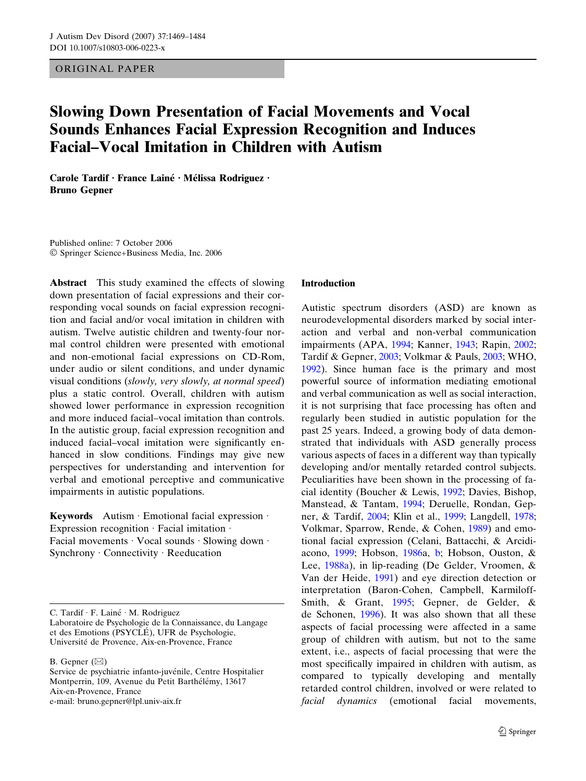## ORIGINAL PAPER

# Slowing Down Presentation of Facial Movements and Vocal Sounds Enhances Facial Expression Recognition and Induces Facial–Vocal Imitation in Children with Autism

Carole Tardif · France Lainé · Mélissa Rodriguez · Bruno Gepner

Published online: 7 October 2006 Springer Science+Business Media, Inc. 2006

Abstract This study examined the effects of slowing down presentation of facial expressions and their corresponding vocal sounds on facial expression recognition and facial and/or vocal imitation in children with autism. Twelve autistic children and twenty-four normal control children were presented with emotional and non-emotional facial expressions on CD-Rom, under audio or silent conditions, and under dynamic visual conditions (slowly, very slowly, at normal speed) plus a static control. Overall, children with autism showed lower performance in expression recognition and more induced facial–vocal imitation than controls. In the autistic group, facial expression recognition and induced facial–vocal imitation were significantly enhanced in slow conditions. Findings may give new perspectives for understanding and intervention for verbal and emotional perceptive and communicative impairments in autistic populations.

Keywords Autism  $\cdot$  Emotional facial expression  $\cdot$ Expression recognition  $\cdot$  Facial imitation  $\cdot$ Facial movements  $\cdot$  Vocal sounds  $\cdot$  Slowing down  $\cdot$ Synchrony · Connectivity · Reeducation

C. Tardif · F. Lainé · M. Rodriguez

Laboratoire de Psychologie de la Connaissance, du Langage et des Emotions (PSYCLÉ), UFR de Psychologie, Université de Provence, Aix-en-Provence, France

B. Gepner  $(\boxtimes)$ 

## Introduction

Autistic spectrum disorders (ASD) are known as neurodevelopmental disorders marked by social interaction and verbal and non-verbal communication impairments (APA, [1994;](#page-12-0) Kanner, [1943;](#page-13-0) Rapin, [2002](#page-14-0); Tardif & Gepner, [2003](#page-14-0); Volkmar & Pauls, [2003](#page-15-0); WHO, [1992](#page-15-0)). Since human face is the primary and most powerful source of information mediating emotional and verbal communication as well as social interaction, it is not surprising that face processing has often and regularly been studied in autistic population for the past 25 years. Indeed, a growing body of data demonstrated that individuals with ASD generally process various aspects of faces in a different way than typically developing and/or mentally retarded control subjects. Peculiarities have been shown in the processing of facial identity (Boucher & Lewis, [1992;](#page-12-0) Davies, Bishop, Manstead, & Tantam, [1994](#page-12-0); Deruelle, Rondan, Gepner, & Tardif, [2004](#page-12-0); Klin et al., [1999;](#page-13-0) Langdell, [1978](#page-13-0); Volkmar, Sparrow, Rende, & Cohen, [1989](#page-15-0)) and emotional facial expression (Celani, Battacchi, & Arcidiacono, [1999](#page-12-0); Hobson, [1986](#page-13-0)a, [b](#page-13-0); Hobson, Ouston, & Lee, [1988a\)](#page-13-0), in lip-reading (De Gelder, Vroomen, & Van der Heide, [1991\)](#page-12-0) and eye direction detection or interpretation (Baron-Cohen, Campbell, Karmiloff-Smith, & Grant, [1995](#page-12-0); Gepner, de Gelder, & de Schonen, [1996](#page-12-0)). It was also shown that all these aspects of facial processing were affected in a same group of children with autism, but not to the same extent, i.e., aspects of facial processing that were the most specifically impaired in children with autism, as compared to typically developing and mentally retarded control children, involved or were related to facial dynamics (emotional facial movements,

Service de psychiatrie infanto-juvénile, Centre Hospitalier Montperrin, 109, Avenue du Petit Barthélémy, 13617 Aix-en-Provence, France e-mail: bruno.gepner@lpl.univ-aix.fr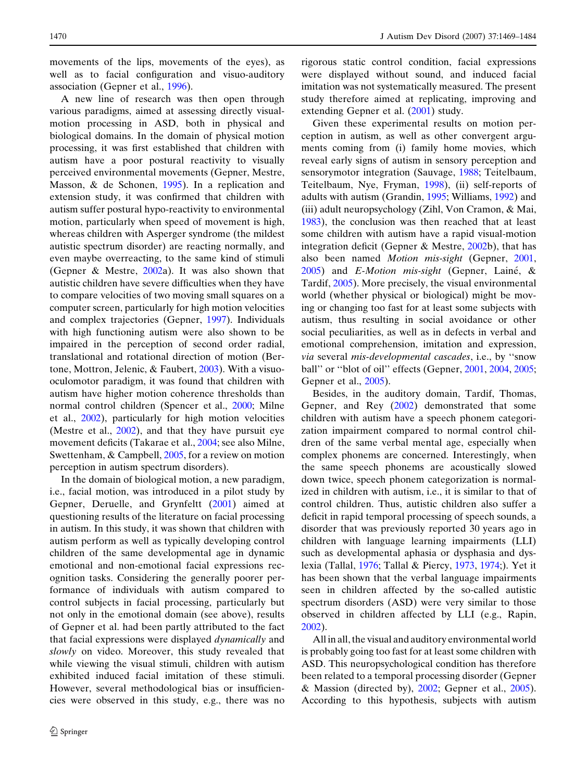movements of the lips, movements of the eyes), as well as to facial configuration and visuo-auditory association (Gepner et al., [1996](#page-12-0)).

A new line of research was then open through various paradigms, aimed at assessing directly visualmotion processing in ASD, both in physical and biological domains. In the domain of physical motion processing, it was first established that children with autism have a poor postural reactivity to visually perceived environmental movements (Gepner, Mestre, Masson, & de Schonen, [1995\)](#page-12-0). In a replication and extension study, it was confirmed that children with autism suffer postural hypo-reactivity to environmental motion, particularly when speed of movement is high, whereas children with Asperger syndrome (the mildest autistic spectrum disorder) are reacting normally, and even maybe overreacting, to the same kind of stimuli (Gepner & Mestre, [2002a](#page-12-0)). It was also shown that autistic children have severe difficulties when they have to compare velocities of two moving small squares on a computer screen, particularly for high motion velocities and complex trajectories (Gepner, [1997](#page-12-0)). Individuals with high functioning autism were also shown to be impaired in the perception of second order radial, translational and rotational direction of motion (Bertone, Mottron, Jelenic, & Faubert, [2003\)](#page-12-0). With a visuooculomotor paradigm, it was found that children with autism have higher motion coherence thresholds than normal control children (Spencer et al., [2000;](#page-14-0) Milne et al., [2002](#page-14-0)), particularly for high motion velocities (Mestre et al., [2002\)](#page-13-0), and that they have pursuit eye movement deficits (Takarae et al., [2004](#page-14-0); see also Milne, Swettenham, & Campbell, [2005](#page-14-0), for a review on motion perception in autism spectrum disorders).

In the domain of biological motion, a new paradigm, i.e., facial motion, was introduced in a pilot study by Gepner, Deruelle, and Grynfeltt ([2001\)](#page-12-0) aimed at questioning results of the literature on facial processing in autism. In this study, it was shown that children with autism perform as well as typically developing control children of the same developmental age in dynamic emotional and non-emotional facial expressions recognition tasks. Considering the generally poorer performance of individuals with autism compared to control subjects in facial processing, particularly but not only in the emotional domain (see above), results of Gepner et al. had been partly attributed to the fact that facial expressions were displayed dynamically and slowly on video. Moreover, this study revealed that while viewing the visual stimuli, children with autism exhibited induced facial imitation of these stimuli. However, several methodological bias or insufficiencies were observed in this study, e.g., there was no rigorous static control condition, facial expressions were displayed without sound, and induced facial imitation was not systematically measured. The present study therefore aimed at replicating, improving and extending Gepner et al. [\(2001](#page-12-0)) study.

Given these experimental results on motion perception in autism, as well as other convergent arguments coming from (i) family home movies, which reveal early signs of autism in sensory perception and sensorymotor integration (Sauvage, [1988](#page-14-0); Teitelbaum, Teitelbaum, Nye, Fryman, [1998](#page-14-0)), (ii) self-reports of adults with autism (Grandin, [1995;](#page-13-0) Williams, [1992](#page-15-0)) and (iii) adult neuropsychology (Zihl, Von Cramon, & Mai, [1983](#page-15-0)), the conclusion was then reached that at least some children with autism have a rapid visual-motion integration deficit (Gepner & Mestre, [2002b](#page-13-0)), that has also been named Motion mis-sight (Gepner, [2001](#page-12-0),  $2005$ ) and *E-Motion mis-sight* (Gepner, Lainé, & Tardif, [2005\)](#page-13-0). More precisely, the visual environmental world (whether physical or biological) might be moving or changing too fast for at least some subjects with autism, thus resulting in social avoidance or other social peculiarities, as well as in defects in verbal and emotional comprehension, imitation and expression, via several mis-developmental cascades, i.e., by ''snow ball'' or ''blot of oil'' effects (Gepner, [2001](#page-12-0), [2004](#page-13-0), [2005](#page-13-0); Gepner et al., [2005\)](#page-13-0).

Besides, in the auditory domain, Tardif, Thomas, Gepner, and Rey ([2002\)](#page-14-0) demonstrated that some children with autism have a speech phonem categorization impairment compared to normal control children of the same verbal mental age, especially when complex phonems are concerned. Interestingly, when the same speech phonems are acoustically slowed down twice, speech phonem categorization is normalized in children with autism, i.e., it is similar to that of control children. Thus, autistic children also suffer a deficit in rapid temporal processing of speech sounds, a disorder that was previously reported 30 years ago in children with language learning impairments (LLI) such as developmental aphasia or dysphasia and dyslexia (Tallal, [1976](#page-14-0); Tallal & Piercy, [1973](#page-14-0), [1974;](#page-14-0)). Yet it has been shown that the verbal language impairments seen in children affected by the so-called autistic spectrum disorders (ASD) were very similar to those observed in children affected by LLI (e.g., Rapin, [2002](#page-14-0)).

All in all, the visual and auditory environmental world is probably going too fast for at least some children with ASD. This neuropsychological condition has therefore been related to a temporal processing disorder (Gepner & Massion (directed by), [2002;](#page-12-0) Gepner et al., [2005](#page-13-0)). According to this hypothesis, subjects with autism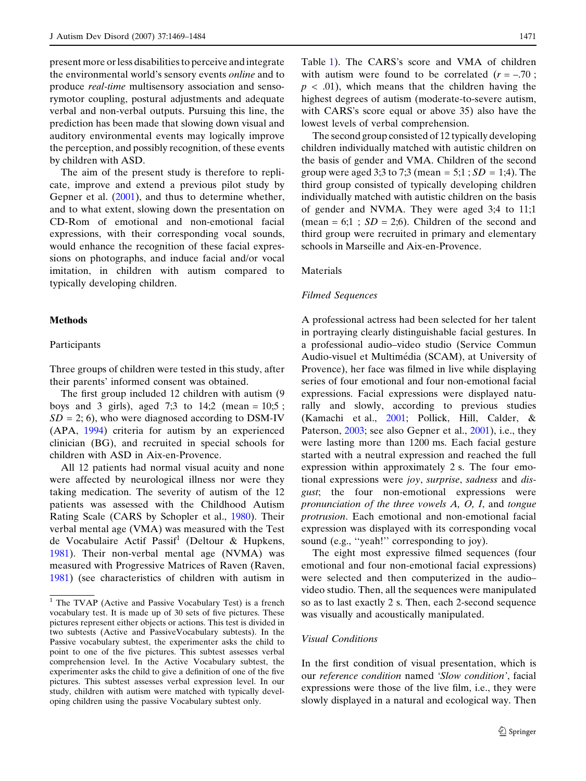present more or less disabilities to perceive and integrate the environmental world's sensory events online and to produce real-time multisensory association and sensorymotor coupling, postural adjustments and adequate verbal and non-verbal outputs. Pursuing this line, the prediction has been made that slowing down visual and auditory environmental events may logically improve the perception, and possibly recognition, of these events by children with ASD.

The aim of the present study is therefore to replicate, improve and extend a previous pilot study by Gepner et al. [\(2001](#page-12-0)), and thus to determine whether, and to what extent, slowing down the presentation on CD-Rom of emotional and non-emotional facial expressions, with their corresponding vocal sounds, would enhance the recognition of these facial expressions on photographs, and induce facial and/or vocal imitation, in children with autism compared to typically developing children.

## **Methods**

## Participants

Three groups of children were tested in this study, after their parents' informed consent was obtained.

The first group included 12 children with autism (9 boys and 3 girls), aged 7;3 to  $14;2$  (mean =  $10;5$ ;  $SD = 2$ ; 6), who were diagnosed according to DSM-IV (APA, [1994](#page-12-0)) criteria for autism by an experienced clinician (BG), and recruited in special schools for children with ASD in Aix-en-Provence.

All 12 patients had normal visual acuity and none were affected by neurological illness nor were they taking medication. The severity of autism of the 12 patients was assessed with the Childhood Autism Rating Scale (CARS by Schopler et al., [1980](#page-14-0)). Their verbal mental age (VMA) was measured with the Test de Vocabulaire Actif Passif<sup>1</sup> (Deltour & Hupkens, [1981](#page-12-0)). Their non-verbal mental age (NVMA) was measured with Progressive Matrices of Raven (Raven, [1981](#page-14-0)) (see characteristics of children with autism in

Table [1\)](#page-3-0). The CARS's score and VMA of children with autism were found to be correlated  $(r = -.70)$ ;  $p < .01$ ), which means that the children having the highest degrees of autism (moderate-to-severe autism, with CARS's score equal or above 35) also have the lowest levels of verbal comprehension.

The second group consisted of 12 typically developing children individually matched with autistic children on the basis of gender and VMA. Children of the second group were aged 3;3 to 7;3 (mean =  $5;1$ ;  $SD = 1;4$ ). The third group consisted of typically developing children individually matched with autistic children on the basis of gender and NVMA. They were aged 3;4 to 11;1 (mean =  $6;1$ ;  $SD = 2;6$ ). Children of the second and third group were recruited in primary and elementary schools in Marseille and Aix-en-Provence.

## Materials

#### Filmed Sequences

A professional actress had been selected for her talent in portraying clearly distinguishable facial gestures. In a professional audio–video studio (Service Commun Audio-visuel et Multimédia (SCAM), at University of Provence), her face was filmed in live while displaying series of four emotional and four non-emotional facial expressions. Facial expressions were displayed naturally and slowly, according to previous studies (Kamachi et al., [2001;](#page-13-0) Pollick, Hill, Calder, & Paterson, [2003](#page-14-0); see also Gepner et al., [2001\)](#page-12-0), i.e., they were lasting more than 1200 ms. Each facial gesture started with a neutral expression and reached the full expression within approximately 2 s. The four emotional expressions were joy, surprise, sadness and disgust; the four non-emotional expressions were pronunciation of the three vowels A, O, I, and tongue protrusion. Each emotional and non-emotional facial expression was displayed with its corresponding vocal sound (e.g., "yeah!" corresponding to joy).

The eight most expressive filmed sequences (four emotional and four non-emotional facial expressions) were selected and then computerized in the audio– video studio. Then, all the sequences were manipulated so as to last exactly 2 s. Then, each 2-second sequence was visually and acoustically manipulated.

# Visual Conditions

In the first condition of visual presentation, which is our reference condition named 'Slow condition', facial expressions were those of the live film, i.e., they were slowly displayed in a natural and ecological way. Then

<sup>&</sup>lt;sup>1</sup> The TVAP (Active and Passive Vocabulary Test) is a french vocabulary test. It is made up of 30 sets of five pictures. These pictures represent either objects or actions. This test is divided in two subtests (Active and PassiveVocabulary subtests). In the Passive vocabulary subtest, the experimenter asks the child to point to one of the five pictures. This subtest assesses verbal comprehension level. In the Active Vocabulary subtest, the experimenter asks the child to give a definition of one of the five pictures. This subtest assesses verbal expression level. In our study, children with autism were matched with typically developing children using the passive Vocabulary subtest only.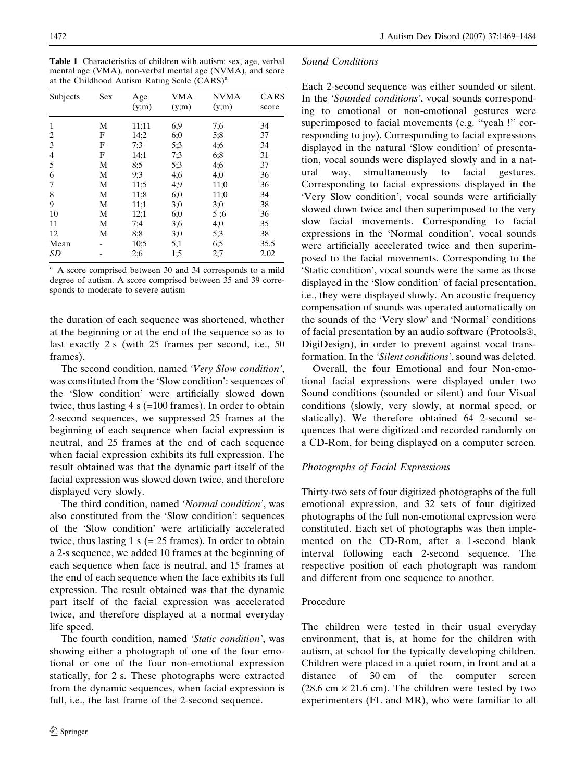<span id="page-3-0"></span>Table 1 Characteristics of children with autism: sex, age, verbal mental age (VMA), non-verbal mental age (NVMA), and score at the Childhood Autism Rating Scale (CARS)<sup>a</sup>

| Subjects | Sex | Age<br>(y;m) | VMA<br>(y;m) | <b>NVMA</b><br>(y;m) | CARS<br>score |
|----------|-----|--------------|--------------|----------------------|---------------|
| 1        | M   | 11:11        | 6:9          | 7:6                  | 34            |
| 2        | F   | 14:2         | 6:0          | 5:8                  | 37            |
| 3        | F   | 7:3          | 5:3          | 4:6                  | 34            |
| 4        | F   | 14:1         | 7:3          | 6:8                  | 31            |
| 5        | M   | 8:5          | 5:3          | 4:6                  | 37            |
| 6        | M   | 9:3          | 4:6          | 4:0                  | 36            |
| 7        | M   | 11:5         | 4:9          | 11;0                 | 36            |
| 8        | M   | 11:8         | 6:0          | 11:0                 | 34            |
| 9        | M   | 11:1         | 3:0          | 3:0                  | 38            |
| 10       | M   | 12:1         | 6:0          | 5:6                  | 36            |
| 11       | M   | 7:4          | 3:6          | 4:0                  | 35            |
| 12       | M   | 8:8          | 3:0          | 5:3                  | 38            |
| Mean     |     | 10:5         | 5:1          | 6:5                  | 35.5          |
| SD       |     | 2:6          | 1:5          | 2:7                  | 2.02          |

<sup>a</sup> A score comprised between 30 and 34 corresponds to a mild degree of autism. A score comprised between 35 and 39 corresponds to moderate to severe autism

the duration of each sequence was shortened, whether at the beginning or at the end of the sequence so as to last exactly 2 s (with 25 frames per second, i.e., 50 frames).

The second condition, named 'Very Slow condition', was constituted from the 'Slow condition': sequences of the 'Slow condition' were artificially slowed down twice, thus lasting  $4 \text{ s } (=100 \text{ frames})$ . In order to obtain 2-second sequences, we suppressed 25 frames at the beginning of each sequence when facial expression is neutral, and 25 frames at the end of each sequence when facial expression exhibits its full expression. The result obtained was that the dynamic part itself of the facial expression was slowed down twice, and therefore displayed very slowly.

The third condition, named 'Normal condition', was also constituted from the 'Slow condition': sequences of the 'Slow condition' were artificially accelerated twice, thus lasting 1 s  $(= 25$  frames). In order to obtain a 2-s sequence, we added 10 frames at the beginning of each sequence when face is neutral, and 15 frames at the end of each sequence when the face exhibits its full expression. The result obtained was that the dynamic part itself of the facial expression was accelerated twice, and therefore displayed at a normal everyday life speed.

The fourth condition, named 'Static condition', was showing either a photograph of one of the four emotional or one of the four non-emotional expression statically, for 2 s. These photographs were extracted from the dynamic sequences, when facial expression is full, i.e., the last frame of the 2-second sequence.

# Sound Conditions

Each 2-second sequence was either sounded or silent. In the 'Sounded conditions', vocal sounds corresponding to emotional or non-emotional gestures were superimposed to facial movements (e.g. "yeah !" corresponding to joy). Corresponding to facial expressions displayed in the natural 'Slow condition' of presentation, vocal sounds were displayed slowly and in a natural way, simultaneously to facial gestures. Corresponding to facial expressions displayed in the 'Very Slow condition', vocal sounds were artificially slowed down twice and then superimposed to the very slow facial movements. Corresponding to facial expressions in the 'Normal condition', vocal sounds were artificially accelerated twice and then superimposed to the facial movements. Corresponding to the 'Static condition', vocal sounds were the same as those displayed in the 'Slow condition' of facial presentation, i.e., they were displayed slowly. An acoustic frequency compensation of sounds was operated automatically on the sounds of the 'Very slow' and 'Normal' conditions of facial presentation by an audio software (Protools®, DigiDesign), in order to prevent against vocal transformation. In the 'Silent conditions', sound was deleted.

Overall, the four Emotional and four Non-emotional facial expressions were displayed under two Sound conditions (sounded or silent) and four Visual conditions (slowly, very slowly, at normal speed, or statically). We therefore obtained 64 2-second sequences that were digitized and recorded randomly on a CD-Rom, for being displayed on a computer screen.

# Photographs of Facial Expressions

Thirty-two sets of four digitized photographs of the full emotional expression, and 32 sets of four digitized photographs of the full non-emotional expression were constituted. Each set of photographs was then implemented on the CD-Rom, after a 1-second blank interval following each 2-second sequence. The respective position of each photograph was random and different from one sequence to another.

# Procedure

The children were tested in their usual everyday environment, that is, at home for the children with autism, at school for the typically developing children. Children were placed in a quiet room, in front and at a distance of 30 cm of the computer screen (28.6 cm  $\times$  21.6 cm). The children were tested by two experimenters (FL and MR), who were familiar to all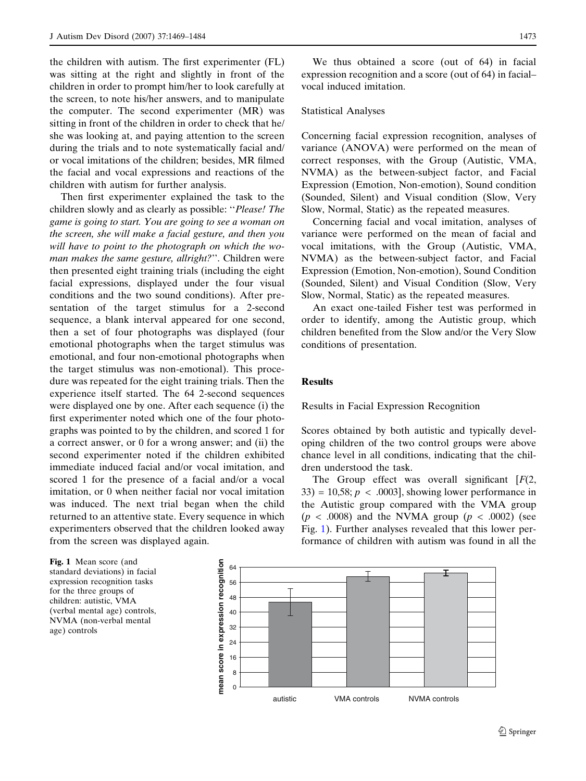the children with autism. The first experimenter (FL) was sitting at the right and slightly in front of the children in order to prompt him/her to look carefully at the screen, to note his/her answers, and to manipulate the computer. The second experimenter (MR) was sitting in front of the children in order to check that he/ she was looking at, and paying attention to the screen during the trials and to note systematically facial and/ or vocal imitations of the children; besides, MR filmed the facial and vocal expressions and reactions of the children with autism for further analysis.

Then first experimenter explained the task to the children slowly and as clearly as possible: ''Please! The game is going to start. You are going to see a woman on the screen, she will make a facial gesture, and then you will have to point to the photograph on which the woman makes the same gesture, allright?''. Children were then presented eight training trials (including the eight facial expressions, displayed under the four visual conditions and the two sound conditions). After presentation of the target stimulus for a 2-second sequence, a blank interval appeared for one second, then a set of four photographs was displayed (four emotional photographs when the target stimulus was emotional, and four non-emotional photographs when the target stimulus was non-emotional). This procedure was repeated for the eight training trials. Then the experience itself started. The 64 2-second sequences were displayed one by one. After each sequence (i) the first experimenter noted which one of the four photographs was pointed to by the children, and scored 1 for a correct answer, or 0 for a wrong answer; and (ii) the second experimenter noted if the children exhibited immediate induced facial and/or vocal imitation, and scored 1 for the presence of a facial and/or a vocal imitation, or 0 when neither facial nor vocal imitation was induced. The next trial began when the child returned to an attentive state. Every sequence in which experimenters observed that the children looked away from the screen was displayed again.

Fig. 1 Mean score (and standard deviations) in facial expression recognition tasks for the three groups of children: autistic, VMA (verbal mental age) controls, NVMA (non-verbal mental age) controls

We thus obtained a score (out of 64) in facial expression recognition and a score (out of 64) in facial– vocal induced imitation.

#### Statistical Analyses

Concerning facial expression recognition, analyses of variance (ANOVA) were performed on the mean of correct responses, with the Group (Autistic, VMA, NVMA) as the between-subject factor, and Facial Expression (Emotion, Non-emotion), Sound condition (Sounded, Silent) and Visual condition (Slow, Very Slow, Normal, Static) as the repeated measures.

Concerning facial and vocal imitation, analyses of variance were performed on the mean of facial and vocal imitations, with the Group (Autistic, VMA, NVMA) as the between-subject factor, and Facial Expression (Emotion, Non-emotion), Sound Condition (Sounded, Silent) and Visual Condition (Slow, Very Slow, Normal, Static) as the repeated measures.

An exact one-tailed Fisher test was performed in order to identify, among the Autistic group, which children benefited from the Slow and/or the Very Slow conditions of presentation.

## **Results**

Results in Facial Expression Recognition

Scores obtained by both autistic and typically developing children of the two control groups were above chance level in all conditions, indicating that the children understood the task.

The Group effect was overall significant  $[F(2,$  $33$ ) = 10,58;  $p < .0003$ , showing lower performance in the Autistic group compared with the VMA group  $(p < .0008)$  and the NVMA group  $(p < .0002)$  (see Fig. 1). Further analyses revealed that this lower performance of children with autism was found in all the

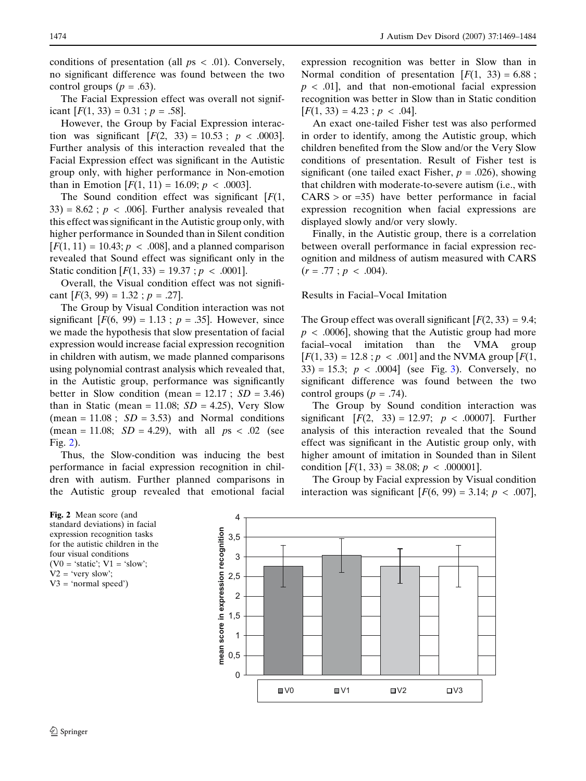conditions of presentation (all  $ps < .01$ ). Conversely, no significant difference was found between the two control groups ( $p = .63$ ).

The Facial Expression effect was overall not significant  $[F(1, 33) = 0.31$ ;  $p = .58$ ].

However, the Group by Facial Expression interaction was significant  $[F(2, 33) = 10.53; p < .0003]$ . Further analysis of this interaction revealed that the Facial Expression effect was significant in the Autistic group only, with higher performance in Non-emotion than in Emotion  $[F(1, 11) = 16.09; p < .0003]$ .

The Sound condition effect was significant  $[F(1,$  $33$ ) = 8.62;  $p < .006$ . Further analysis revealed that this effect was significant in the Autistic group only, with higher performance in Sounded than in Silent condition  $[F(1, 11) = 10.43; p < .008]$ , and a planned comparison revealed that Sound effect was significant only in the Static condition  $[F(1, 33) = 19.37$ ;  $p < .0001$ .

Overall, the Visual condition effect was not significant  $[F(3, 99) = 1.32$ ;  $p = .27$ ].

The Group by Visual Condition interaction was not significant  $[F(6, 99) = 1.13$ ;  $p = .35]$ . However, since we made the hypothesis that slow presentation of facial expression would increase facial expression recognition in children with autism, we made planned comparisons using polynomial contrast analysis which revealed that, in the Autistic group, performance was significantly better in Slow condition (mean =  $12.17$ ;  $SD = 3.46$ ) than in Static (mean = 11.08;  $SD = 4.25$ ), Very Slow (mean =  $11.08$ ;  $SD = 3.53$ ) and Normal conditions (mean = 11.08;  $SD = 4.29$ ), with all  $ps < .02$  (see Fig. 2).

Thus, the Slow-condition was inducing the best performance in facial expression recognition in children with autism. Further planned comparisons in the Autistic group revealed that emotional facial expression recognition was better in Slow than in Normal condition of presentation  $[F(1, 33) = 6.88]$ ;  $p < .01$ , and that non-emotional facial expression recognition was better in Slow than in Static condition  $[F(1, 33) = 4.23 : p < .04].$ 

An exact one-tailed Fisher test was also performed in order to identify, among the Autistic group, which children benefited from the Slow and/or the Very Slow conditions of presentation. Result of Fisher test is significant (one tailed exact Fisher,  $p = .026$ ), showing that children with moderate-to-severe autism (i.e., with  $CARS > or =35$ ) have better performance in facial expression recognition when facial expressions are displayed slowly and/or very slowly.

Finally, in the Autistic group, there is a correlation between overall performance in facial expression recognition and mildness of autism measured with CARS  $(r = .77$ ;  $p < .004$ ).

# Results in Facial–Vocal Imitation

The Group effect was overall significant  $[F(2, 33) = 9.4;$  $p < .0006$ , showing that the Autistic group had more facial–vocal imitation than the VMA group  $[F(1, 33) = 12.8$ ;  $p < .001]$  and the NVMA group  $[F(1, 1, 33)]$ 3[3\)](#page-6-0) = 15.3;  $p < .0004$  (see Fig. 3). Conversely, no significant difference was found between the two control groups ( $p = .74$ ).

The Group by Sound condition interaction was significant  $[F(2, 33) = 12.97; p < .00007]$ . Further analysis of this interaction revealed that the Sound effect was significant in the Autistic group only, with higher amount of imitation in Sounded than in Silent condition  $[F(1, 33) = 38.08; p < .000001]$ .

The Group by Facial expression by Visual condition interaction was significant  $[F(6, 99) = 3.14; p < .007]$ ,

Fig. 2 Mean score (and standard deviations) in facial expression recognition tasks for the autistic children in the four visual conditions  $(V0 = 'static'; V1 = 'slow';$  $V2 = 'very slow';$  $V3 = 'normal speed')$ 

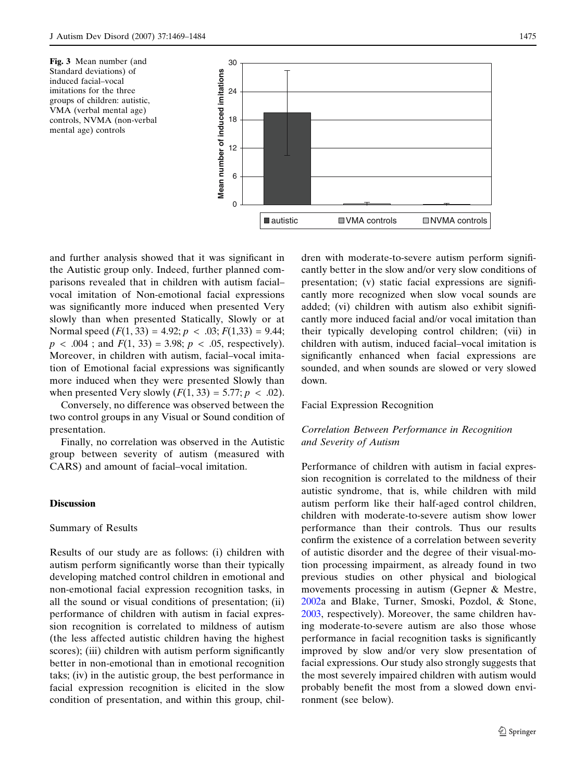<span id="page-6-0"></span>Fig. 3 Mean number (and Standard deviations) of induced facial–vocal imitations for the three groups of children: autistic, VMA (verbal mental age) controls, NVMA (non-verbal mental age) controls



and further analysis showed that it was significant in the Autistic group only. Indeed, further planned comparisons revealed that in children with autism facial– vocal imitation of Non-emotional facial expressions was significantly more induced when presented Very slowly than when presented Statically, Slowly or at Normal speed  $(F(1, 33) = 4.92; p < .03; F(1, 33) = 9.44;$  $p < .004$ ; and  $F(1, 33) = 3.98$ ;  $p < .05$ , respectively). Moreover, in children with autism, facial–vocal imitation of Emotional facial expressions was significantly more induced when they were presented Slowly than when presented Very slowly  $(F(1, 33) = 5.77; p < .02)$ .

Conversely, no difference was observed between the two control groups in any Visual or Sound condition of presentation.

Finally, no correlation was observed in the Autistic group between severity of autism (measured with CARS) and amount of facial–vocal imitation.

# Discussion

## Summary of Results

Results of our study are as follows: (i) children with autism perform significantly worse than their typically developing matched control children in emotional and non-emotional facial expression recognition tasks, in all the sound or visual conditions of presentation; (ii) performance of children with autism in facial expression recognition is correlated to mildness of autism (the less affected autistic children having the highest scores); (iii) children with autism perform significantly better in non-emotional than in emotional recognition taks; (iv) in the autistic group, the best performance in facial expression recognition is elicited in the slow condition of presentation, and within this group, children with moderate-to-severe autism perform significantly better in the slow and/or very slow conditions of presentation; (v) static facial expressions are significantly more recognized when slow vocal sounds are added; (vi) children with autism also exhibit significantly more induced facial and/or vocal imitation than their typically developing control children; (vii) in children with autism, induced facial–vocal imitation is significantly enhanced when facial expressions are sounded, and when sounds are slowed or very slowed down.

# Facial Expression Recognition

# Correlation Between Performance in Recognition and Severity of Autism

Performance of children with autism in facial expression recognition is correlated to the mildness of their autistic syndrome, that is, while children with mild autism perform like their half-aged control children, children with moderate-to-severe autism show lower performance than their controls. Thus our results confirm the existence of a correlation between severity of autistic disorder and the degree of their visual-motion processing impairment, as already found in two previous studies on other physical and biological movements processing in autism (Gepner & Mestre, [2002](#page-12-0)a and Blake, Turner, Smoski, Pozdol, & Stone, [2003](#page-12-0), respectively). Moreover, the same children having moderate-to-severe autism are also those whose performance in facial recognition tasks is significantly improved by slow and/or very slow presentation of facial expressions. Our study also strongly suggests that the most severely impaired children with autism would probably benefit the most from a slowed down environment (see below).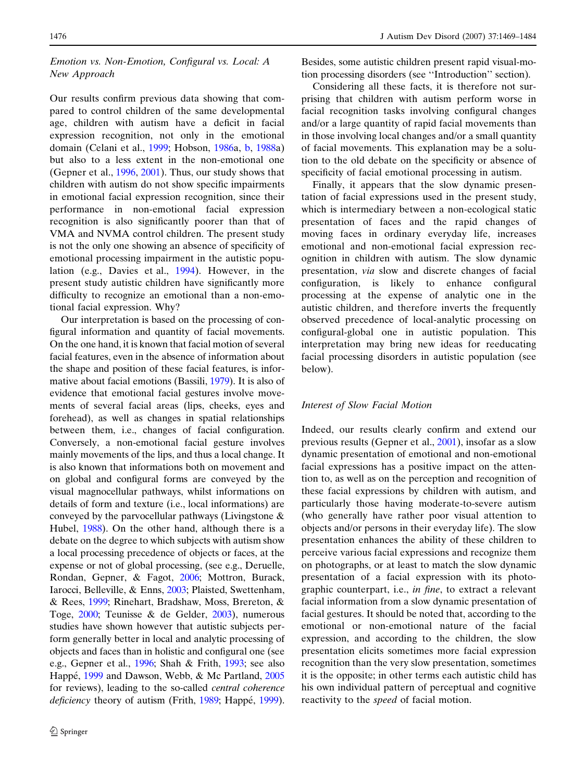# Emotion vs. Non-Emotion, Configural vs. Local: A New Approach

Our results confirm previous data showing that compared to control children of the same developmental age, children with autism have a deficit in facial expression recognition, not only in the emotional domain (Celani et al., [1999](#page-12-0); Hobson, [1986a](#page-13-0), [b,](#page-13-0) [1988a](#page-13-0)) but also to a less extent in the non-emotional one (Gepner et al., [1996](#page-12-0), [2001\)](#page-12-0). Thus, our study shows that children with autism do not show specific impairments in emotional facial expression recognition, since their performance in non-emotional facial expression recognition is also significantly poorer than that of VMA and NVMA control children. The present study is not the only one showing an absence of specificity of emotional processing impairment in the autistic population (e.g., Davies et al., [1994\)](#page-12-0). However, in the present study autistic children have significantly more difficulty to recognize an emotional than a non-emotional facial expression. Why?

Our interpretation is based on the processing of configural information and quantity of facial movements. On the one hand, it is known that facial motion of several facial features, even in the absence of information about the shape and position of these facial features, is informative about facial emotions (Bassili, [1979](#page-12-0)). It is also of evidence that emotional facial gestures involve movements of several facial areas (lips, cheeks, eyes and forehead), as well as changes in spatial relationships between them, i.e., changes of facial configuration. Conversely, a non-emotional facial gesture involves mainly movements of the lips, and thus a local change. It is also known that informations both on movement and on global and configural forms are conveyed by the visual magnocellular pathways, whilst informations on details of form and texture (i.e., local informations) are conveyed by the parvocellular pathways (Livingstone & Hubel, [1988](#page-13-0)). On the other hand, although there is a debate on the degree to which subjects with autism show a local processing precedence of objects or faces, at the expense or not of global processing, (see e.g., Deruelle, Rondan, Gepner, & Fagot, [2006;](#page-12-0) Mottron, Burack, Iarocci, Belleville, & Enns, [2003;](#page-14-0) Plaisted, Swettenham, & Rees, [1999](#page-14-0); Rinehart, Bradshaw, Moss, Brereton, & Toge, [2000](#page-14-0); Teunisse & de Gelder, [2003\)](#page-15-0), numerous studies have shown however that autistic subjects perform generally better in local and analytic processing of objects and faces than in holistic and configural one (see e.g., Gepner et al., [1996;](#page-12-0) Shah & Frith, [1993](#page-14-0); see also Happé, [1999](#page-13-0) and Dawson, Webb, & Mc Partland, [2005](#page-12-0) for reviews), leading to the so-called central coherence  $deficiency$  theory of autism (Frith,  $1989$ ; Happé,  $1999$ ). Besides, some autistic children present rapid visual-motion processing disorders (see ''Introduction'' section).

Considering all these facts, it is therefore not surprising that children with autism perform worse in facial recognition tasks involving configural changes and/or a large quantity of rapid facial movements than in those involving local changes and/or a small quantity of facial movements. This explanation may be a solution to the old debate on the specificity or absence of specificity of facial emotional processing in autism.

Finally, it appears that the slow dynamic presentation of facial expressions used in the present study, which is intermediary between a non-ecological static presentation of faces and the rapid changes of moving faces in ordinary everyday life, increases emotional and non-emotional facial expression recognition in children with autism. The slow dynamic presentation, via slow and discrete changes of facial configuration, is likely to enhance configural processing at the expense of analytic one in the autistic children, and therefore inverts the frequently observed precedence of local-analytic processing on configural-global one in autistic population. This interpretation may bring new ideas for reeducating facial processing disorders in autistic population (see below).

# Interest of Slow Facial Motion

Indeed, our results clearly confirm and extend our previous results (Gepner et al., [2001](#page-12-0)), insofar as a slow dynamic presentation of emotional and non-emotional facial expressions has a positive impact on the attention to, as well as on the perception and recognition of these facial expressions by children with autism, and particularly those having moderate-to-severe autism (who generally have rather poor visual attention to objects and/or persons in their everyday life). The slow presentation enhances the ability of these children to perceive various facial expressions and recognize them on photographs, or at least to match the slow dynamic presentation of a facial expression with its photographic counterpart, i.e., in fine, to extract a relevant facial information from a slow dynamic presentation of facial gestures. It should be noted that, according to the emotional or non-emotional nature of the facial expression, and according to the children, the slow presentation elicits sometimes more facial expression recognition than the very slow presentation, sometimes it is the opposite; in other terms each autistic child has his own individual pattern of perceptual and cognitive reactivity to the *speed* of facial motion.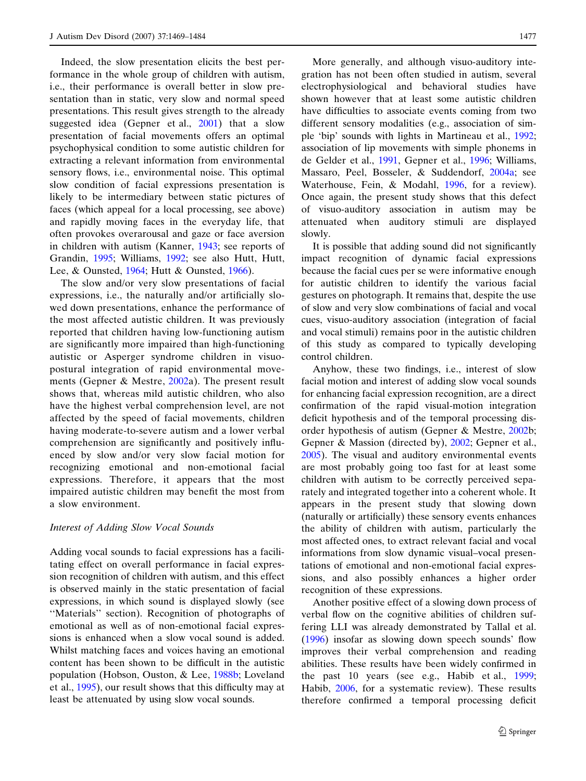Indeed, the slow presentation elicits the best performance in the whole group of children with autism, i.e., their performance is overall better in slow presentation than in static, very slow and normal speed presentations. This result gives strength to the already suggested idea (Gepner et al., [2001](#page-12-0)) that a slow presentation of facial movements offers an optimal psychophysical condition to some autistic children for extracting a relevant information from environmental sensory flows, i.e., environmental noise. This optimal slow condition of facial expressions presentation is likely to be intermediary between static pictures of faces (which appeal for a local processing, see above) and rapidly moving faces in the everyday life, that often provokes overarousal and gaze or face aversion in children with autism (Kanner, [1943;](#page-13-0) see reports of Grandin, [1995;](#page-13-0) Williams, [1992](#page-15-0); see also Hutt, Hutt, Lee, & Ounsted, [1964](#page-13-0); Hutt & Ounsted, [1966](#page-13-0)).

The slow and/or very slow presentations of facial expressions, i.e., the naturally and/or artificially slowed down presentations, enhance the performance of the most affected autistic children. It was previously reported that children having low-functioning autism are significantly more impaired than high-functioning autistic or Asperger syndrome children in visuopostural integration of rapid environmental movements (Gepner & Mestre, [2002](#page-12-0)a). The present result shows that, whereas mild autistic children, who also have the highest verbal comprehension level, are not affected by the speed of facial movements, children having moderate-to-severe autism and a lower verbal comprehension are significantly and positively influenced by slow and/or very slow facial motion for recognizing emotional and non-emotional facial expressions. Therefore, it appears that the most impaired autistic children may benefit the most from a slow environment.

# Interest of Adding Slow Vocal Sounds

Adding vocal sounds to facial expressions has a facilitating effect on overall performance in facial expression recognition of children with autism, and this effect is observed mainly in the static presentation of facial expressions, in which sound is displayed slowly (see ''Materials'' section). Recognition of photographs of emotional as well as of non-emotional facial expressions is enhanced when a slow vocal sound is added. Whilst matching faces and voices having an emotional content has been shown to be difficult in the autistic population (Hobson, Ouston, & Lee, [1988b;](#page-13-0) Loveland et al., [1995\)](#page-13-0), our result shows that this difficulty may at least be attenuated by using slow vocal sounds.

More generally, and although visuo-auditory integration has not been often studied in autism, several electrophysiological and behavioral studies have shown however that at least some autistic children have difficulties to associate events coming from two different sensory modalities (e.g., association of simple 'bip' sounds with lights in Martineau et al., [1992](#page-13-0); association of lip movements with simple phonems in de Gelder et al., [1991](#page-12-0), Gepner et al., [1996](#page-12-0); Williams, Massaro, Peel, Bosseler, & Suddendorf, [2004a](#page-15-0); see Waterhouse, Fein, & Modahl, [1996,](#page-15-0) for a review). Once again, the present study shows that this defect of visuo-auditory association in autism may be attenuated when auditory stimuli are displayed slowly.

It is possible that adding sound did not significantly impact recognition of dynamic facial expressions because the facial cues per se were informative enough for autistic children to identify the various facial gestures on photograph. It remains that, despite the use of slow and very slow combinations of facial and vocal cues, visuo-auditory association (integration of facial and vocal stimuli) remains poor in the autistic children of this study as compared to typically developing control children.

Anyhow, these two findings, i.e., interest of slow facial motion and interest of adding slow vocal sounds for enhancing facial expression recognition, are a direct confirmation of the rapid visual-motion integration deficit hypothesis and of the temporal processing disorder hypothesis of autism (Gepner & Mestre, [2002b](#page-13-0); Gepner & Massion (directed by), [2002;](#page-12-0) Gepner et al., [2005](#page-13-0)). The visual and auditory environmental events are most probably going too fast for at least some children with autism to be correctly perceived separately and integrated together into a coherent whole. It appears in the present study that slowing down (naturally or artificially) these sensory events enhances the ability of children with autism, particularly the most affected ones, to extract relevant facial and vocal informations from slow dynamic visual–vocal presentations of emotional and non-emotional facial expressions, and also possibly enhances a higher order recognition of these expressions.

Another positive effect of a slowing down process of verbal flow on the cognitive abilities of children suffering LLI was already demonstrated by Tallal et al. [\(1996](#page-14-0)) insofar as slowing down speech sounds' flow improves their verbal comprehension and reading abilities. These results have been widely confirmed in the past 10 years (see e.g., Habib et al., [1999](#page-13-0); Habib, [2006](#page-13-0), for a systematic review). These results therefore confirmed a temporal processing deficit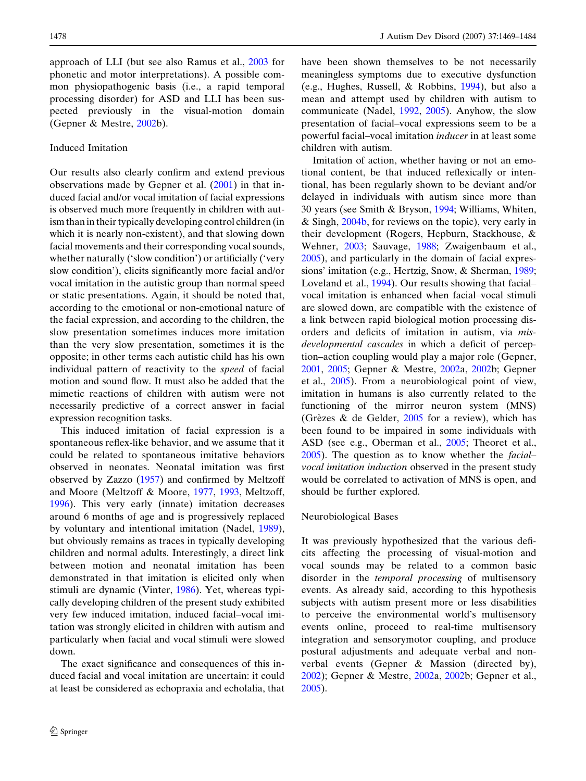approach of LLI (but see also Ramus et al., [2003](#page-14-0) for phonetic and motor interpretations). A possible common physiopathogenic basis (i.e., a rapid temporal processing disorder) for ASD and LLI has been suspected previously in the visual-motion domain (Gepner & Mestre, [2002b](#page-13-0)).

## Induced Imitation

Our results also clearly confirm and extend previous observations made by Gepner et al. ([2001\)](#page-12-0) in that induced facial and/or vocal imitation of facial expressions is observed much more frequently in children with autism than in their typically developing control children (in which it is nearly non-existent), and that slowing down facial movements and their corresponding vocal sounds, whether naturally ('slow condition') or artificially ('very slow condition'), elicits significantly more facial and/or vocal imitation in the autistic group than normal speed or static presentations. Again, it should be noted that, according to the emotional or non-emotional nature of the facial expression, and according to the children, the slow presentation sometimes induces more imitation than the very slow presentation, sometimes it is the opposite; in other terms each autistic child has his own individual pattern of reactivity to the speed of facial motion and sound flow. It must also be added that the mimetic reactions of children with autism were not necessarily predictive of a correct answer in facial expression recognition tasks.

This induced imitation of facial expression is a spontaneous reflex-like behavior, and we assume that it could be related to spontaneous imitative behaviors observed in neonates. Neonatal imitation was first observed by Zazzo ([1957\)](#page-15-0) and confirmed by Meltzoff and Moore (Meltzoff & Moore, [1977](#page-13-0), [1993](#page-13-0), Meltzoff, [1996](#page-13-0)). This very early (innate) imitation decreases around 6 months of age and is progressively replaced by voluntary and intentional imitation (Nadel, [1989](#page-14-0)), but obviously remains as traces in typically developing children and normal adults. Interestingly, a direct link between motion and neonatal imitation has been demonstrated in that imitation is elicited only when stimuli are dynamic (Vinter, [1986](#page-15-0)). Yet, whereas typically developing children of the present study exhibited very few induced imitation, induced facial–vocal imitation was strongly elicited in children with autism and particularly when facial and vocal stimuli were slowed down.

The exact significance and consequences of this induced facial and vocal imitation are uncertain: it could at least be considered as echopraxia and echolalia, that

have been shown themselves to be not necessarily meaningless symptoms due to executive dysfunction (e.g., Hughes, Russell, & Robbins, [1994\)](#page-13-0), but also a mean and attempt used by children with autism to communicate (Nadel, [1992,](#page-14-0) [2005\)](#page-14-0). Anyhow, the slow presentation of facial–vocal expressions seem to be a powerful facial–vocal imitation inducer in at least some children with autism.

Imitation of action, whether having or not an emotional content, be that induced reflexically or intentional, has been regularly shown to be deviant and/or delayed in individuals with autism since more than 30 years (see Smith & Bryson, [1994](#page-14-0); Williams, Whiten, & Singh, [2004b,](#page-15-0) for reviews on the topic), very early in their development (Rogers, Hepburn, Stackhouse, & Wehner, [2003](#page-14-0); Sauvage, [1988](#page-14-0); Zwaigenbaum et al., [2005](#page-15-0)), and particularly in the domain of facial expressions' imitation (e.g., Hertzig, Snow, & Sherman, [1989](#page-13-0); Loveland et al., [1994\)](#page-13-0). Our results showing that facial– vocal imitation is enhanced when facial–vocal stimuli are slowed down, are compatible with the existence of a link between rapid biological motion processing disorders and deficits of imitation in autism, via misdevelopmental cascades in which a deficit of perception–action coupling would play a major role (Gepner, [2001](#page-12-0), [2005](#page-13-0); Gepner & Mestre, [2002](#page-12-0)a, [2002](#page-13-0)b; Gepner et al., [2005](#page-13-0)). From a neurobiological point of view, imitation in humans is also currently related to the functioning of the mirror neuron system (MNS) (Grèzes & de Gelder,  $2005$  for a review), which has been found to be impaired in some individuals with ASD (see e.g., Oberman et al., [2005](#page-14-0); Theoret et al., [2005](#page-15-0)). The question as to know whether the facial– vocal imitation induction observed in the present study would be correlated to activation of MNS is open, and should be further explored.

#### Neurobiological Bases

It was previously hypothesized that the various deficits affecting the processing of visual-motion and vocal sounds may be related to a common basic disorder in the temporal processing of multisensory events. As already said, according to this hypothesis subjects with autism present more or less disabilities to perceive the environmental world's multisensory events online, proceed to real-time multisensory integration and sensorymotor coupling, and produce postural adjustments and adequate verbal and nonverbal events (Gepner & Massion (directed by), [2002](#page-12-0)); Gepner & Mestre, [2002](#page-12-0)a, [2002](#page-13-0)b; Gepner et al., [2005](#page-13-0)).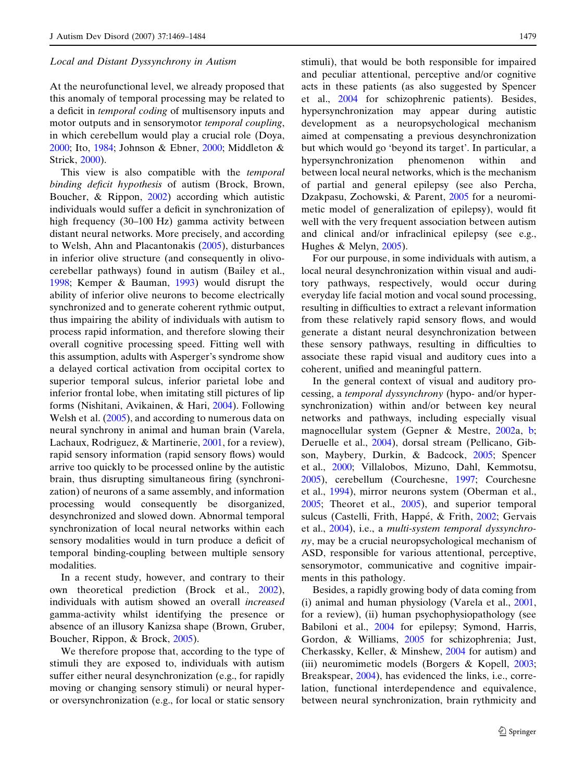#### Local and Distant Dyssynchrony in Autism

At the neurofunctional level, we already proposed that this anomaly of temporal processing may be related to a deficit in temporal coding of multisensory inputs and motor outputs and in sensorymotor temporal coupling, in which cerebellum would play a crucial role (Doya, [2000](#page-12-0); Ito, [1984](#page-13-0); Johnson & Ebner, [2000](#page-13-0); Middleton & Strick, [2000\)](#page-14-0).

This view is also compatible with the temporal binding deficit hypothesis of autism (Brock, Brown, Boucher, & Rippon, [2002\)](#page-12-0) according which autistic individuals would suffer a deficit in synchronization of high frequency (30–100 Hz) gamma activity between distant neural networks. More precisely, and according to Welsh, Ahn and Placantonakis ([2005\)](#page-15-0), disturbances in inferior olive structure (and consequently in olivocerebellar pathways) found in autism (Bailey et al., [1998](#page-12-0); Kemper & Bauman, [1993\)](#page-13-0) would disrupt the ability of inferior olive neurons to become electrically synchronized and to generate coherent rythmic output, thus impairing the ability of individuals with autism to process rapid information, and therefore slowing their overall cognitive processing speed. Fitting well with this assumption, adults with Asperger's syndrome show a delayed cortical activation from occipital cortex to superior temporal sulcus, inferior parietal lobe and inferior frontal lobe, when imitating still pictures of lip forms (Nishitani, Avikainen, & Hari, [2004\)](#page-14-0). Following Welsh et al. [\(2005](#page-15-0)), and according to numerous data on neural synchrony in animal and human brain (Varela, Lachaux, Rodriguez, & Martinerie, [2001,](#page-15-0) for a review), rapid sensory information (rapid sensory flows) would arrive too quickly to be processed online by the autistic brain, thus disrupting simultaneous firing (synchronization) of neurons of a same assembly, and information processing would consequently be disorganized, desynchronized and slowed down. Abnormal temporal synchronization of local neural networks within each sensory modalities would in turn produce a deficit of temporal binding-coupling between multiple sensory modalities.

In a recent study, however, and contrary to their own theoretical prediction (Brock et al., [2002](#page-12-0)), individuals with autism showed an overall increased gamma-activity whilst identifying the presence or absence of an illusory Kanizsa shape (Brown, Gruber, Boucher, Rippon, & Brock, [2005\)](#page-12-0).

We therefore propose that, according to the type of stimuli they are exposed to, individuals with autism suffer either neural desynchronization (e.g., for rapidly moving or changing sensory stimuli) or neural hyperor oversynchronization (e.g., for local or static sensory stimuli), that would be both responsible for impaired and peculiar attentional, perceptive and/or cognitive acts in these patients (as also suggested by Spencer et al., [2004](#page-14-0) for schizophrenic patients). Besides, hypersynchronization may appear during autistic development as a neuropsychological mechanism aimed at compensating a previous desynchronization but which would go 'beyond its target'. In particular, a hypersynchronization phenomenon within and between local neural networks, which is the mechanism of partial and general epilepsy (see also Percha, Dzakpasu, Zochowski, & Parent, [2005](#page-14-0) for a neuromimetic model of generalization of epilepsy), would fit well with the very frequent association between autism and clinical and/or infraclinical epilepsy (see e.g., Hughes & Melyn, [2005](#page-13-0)).

For our purpouse, in some individuals with autism, a local neural desynchronization within visual and auditory pathways, respectively, would occur during everyday life facial motion and vocal sound processing, resulting in difficulties to extract a relevant information from these relatively rapid sensory flows, and would generate a distant neural desynchronization between these sensory pathways, resulting in difficulties to associate these rapid visual and auditory cues into a coherent, unified and meaningful pattern.

In the general context of visual and auditory processing, a temporal dyssynchrony (hypo- and/or hypersynchronization) within and/or between key neural networks and pathways, including especially visual magnocellular system (Gepner & Mestre, [2002a](#page-12-0), [b](#page-13-0); Deruelle et al., [2004](#page-12-0)), dorsal stream (Pellicano, Gibson, Maybery, Durkin, & Badcock, [2005;](#page-14-0) Spencer et al., [2000;](#page-14-0) Villalobos, Mizuno, Dahl, Kemmotsu, [2005](#page-15-0)), cerebellum (Courchesne, [1997;](#page-12-0) Courchesne et al., [1994](#page-12-0)), mirror neurons system (Oberman et al., [2005](#page-14-0); Theoret et al., [2005\)](#page-15-0), and superior temporal sulcus (Castelli, Frith, Happé, & Frith, [2002](#page-12-0); Gervais et al., [2004\)](#page-13-0), i.e., a multi-system temporal dyssynchrony, may be a crucial neuropsychological mechanism of ASD, responsible for various attentional, perceptive, sensorymotor, communicative and cognitive impairments in this pathology.

Besides, a rapidly growing body of data coming from (i) animal and human physiology (Varela et al., [2001](#page-15-0), for a review), (ii) human psychophysiopathology (see Babiloni et al., [2004](#page-12-0) for epilepsy; Symond, Harris, Gordon, & Williams, [2005](#page-14-0) for schizophrenia; Just, Cherkassky, Keller, & Minshew, [2004](#page-13-0) for autism) and (iii) neuromimetic models (Borgers & Kopell, [2003](#page-12-0); Breakspear, [2004](#page-12-0)), has evidenced the links, i.e., correlation, functional interdependence and equivalence, between neural synchronization, brain rythmicity and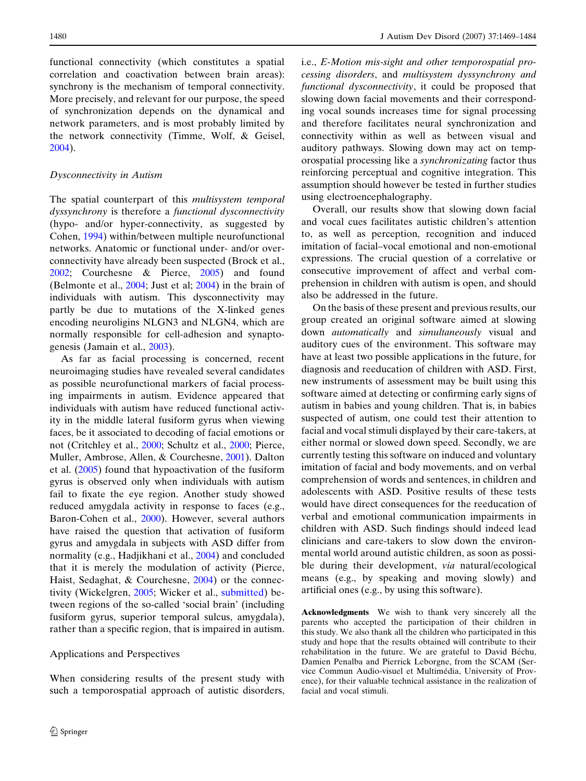functional connectivity (which constitutes a spatial correlation and coactivation between brain areas): synchrony is the mechanism of temporal connectivity. More precisely, and relevant for our purpose, the speed of synchronization depends on the dynamical and network parameters, and is most probably limited by the network connectivity (Timme, Wolf, & Geisel, [2004](#page-15-0)).

## Dysconnectivity in Autism

The spatial counterpart of this multisystem temporal dyssynchrony is therefore a functional dysconnectivity (hypo- and/or hyper-connectivity, as suggested by Cohen, [1994](#page-12-0)) within/between multiple neurofunctional networks. Anatomic or functional under- and/or overconnectivity have already been suspected (Brock et al., [2002](#page-12-0); Courchesne & Pierce, [2005\)](#page-12-0) and found (Belmonte et al., [2004;](#page-12-0) Just et al; [2004](#page-13-0)) in the brain of individuals with autism. This dysconnectivity may partly be due to mutations of the X-linked genes encoding neuroligins NLGN3 and NLGN4, which are normally responsible for cell-adhesion and synaptogenesis (Jamain et al., [2003\)](#page-13-0).

As far as facial processing is concerned, recent neuroimaging studies have revealed several candidates as possible neurofunctional markers of facial processing impairments in autism. Evidence appeared that individuals with autism have reduced functional activity in the middle lateral fusiform gyrus when viewing faces, be it associated to decoding of facial emotions or not (Critchley et al., [2000;](#page-12-0) Schultz et al., [2000;](#page-14-0) Pierce, Muller, Ambrose, Allen, & Courchesne, [2001\)](#page-14-0). Dalton et al. [\(2005](#page-12-0)) found that hypoactivation of the fusiform gyrus is observed only when individuals with autism fail to fixate the eye region. Another study showed reduced amygdala activity in response to faces (e.g., Baron-Cohen et al., [2000](#page-12-0)). However, several authors have raised the question that activation of fusiform gyrus and amygdala in subjects with ASD differ from normality (e.g., Hadjikhani et al., [2004\)](#page-13-0) and concluded that it is merely the modulation of activity (Pierce, Haist, Sedaghat, & Courchesne, [2004](#page-14-0)) or the connectivity (Wickelgren, [2005;](#page-15-0) Wicker et al., [submitted](#page-15-0)) between regions of the so-called 'social brain' (including fusiform gyrus, superior temporal sulcus, amygdala), rather than a specific region, that is impaired in autism.

## Applications and Perspectives

When considering results of the present study with such a temporospatial approach of autistic disorders, i.e., E-Motion mis-sight and other temporospatial processing disorders, and multisystem dyssynchrony and functional dysconnectivity, it could be proposed that slowing down facial movements and their corresponding vocal sounds increases time for signal processing and therefore facilitates neural synchronization and connectivity within as well as between visual and auditory pathways. Slowing down may act on temporospatial processing like a synchronizating factor thus reinforcing perceptual and cognitive integration. This assumption should however be tested in further studies using electroencephalography.

Overall, our results show that slowing down facial and vocal cues facilitates autistic children's attention to, as well as perception, recognition and induced imitation of facial–vocal emotional and non-emotional expressions. The crucial question of a correlative or consecutive improvement of affect and verbal comprehension in children with autism is open, and should also be addressed in the future.

On the basis of these present and previous results, our group created an original software aimed at slowing down automatically and simultaneously visual and auditory cues of the environment. This software may have at least two possible applications in the future, for diagnosis and reeducation of children with ASD. First, new instruments of assessment may be built using this software aimed at detecting or confirming early signs of autism in babies and young children. That is, in babies suspected of autism, one could test their attention to facial and vocal stimuli displayed by their care-takers, at either normal or slowed down speed. Secondly, we are currently testing this software on induced and voluntary imitation of facial and body movements, and on verbal comprehension of words and sentences, in children and adolescents with ASD. Positive results of these tests would have direct consequences for the reeducation of verbal and emotional communication impairments in children with ASD. Such findings should indeed lead clinicians and care-takers to slow down the environmental world around autistic children, as soon as possible during their development, via natural/ecological means (e.g., by speaking and moving slowly) and artificial ones (e.g., by using this software).

Acknowledgments We wish to thank very sincerely all the parents who accepted the participation of their children in this study. We also thank all the children who participated in this study and hope that the results obtained will contribute to their rehabilitation in the future. We are grateful to David Béchu, Damien Penalba and Pierrick Leborgne, from the SCAM (Service Commun Audio-visuel et Multimédia, University of Provence), for their valuable technical assistance in the realization of facial and vocal stimuli.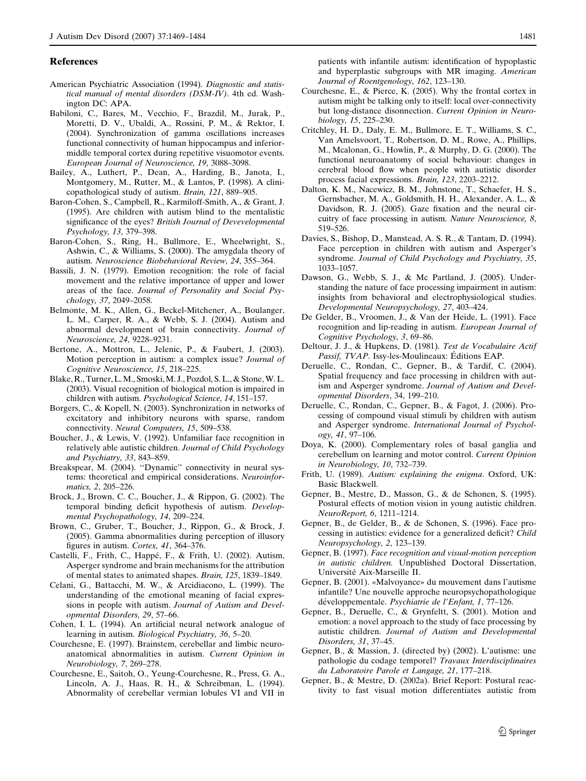#### <span id="page-12-0"></span>References

- American Psychiatric Association (1994). Diagnostic and statistical manual of mental disorders (DSM-IV). 4th ed. Washington DC: APA.
- Babiloni, C., Bares, M., Vecchio, F., Brazdil, M., Jurak, P., Moretti, D. V., Ubaldi, A., Rossini, P. M., & Rektor, I. (2004). Synchronization of gamma oscillations increases functional connectivity of human hippocampus and inferiormiddle temporal cortex during repetitive visuomotor events. European Journal of Neuroscience, 19, 3088–3098.
- Bailey, A., Luthert, P., Dean, A., Harding, B., Janota, I., Montgomery, M., Rutter, M., & Lantos, P. (1998). A clinicopathological study of autism. Brain, 121, 889–905.
- Baron-Cohen, S., Campbell, R., Karmiloff-Smith, A., & Grant, J. (1995). Are children with autism blind to the mentalistic significance of the eyes? British Journal of Devevelopmental Psychology, 13, 379–398.
- Baron-Cohen, S., Ring, H., Bullmore, E., Wheelwright, S., Ashwin, C., & Williams, S. (2000). The amygdala theory of autism. Neuroscience Biobehavioral Review, 24, 355–364.
- Bassili, J. N. (1979). Emotion recognition: the role of facial movement and the relative importance of upper and lower areas of the face. Journal of Personality and Social Psychology, 37, 2049–2058.
- Belmonte, M. K., Allen, G., Beckel-Mitchener, A., Boulanger, L. M., Carper, R. A., & Webb, S. J. (2004). Autism and abnormal development of brain connectivity. Journal of Neuroscience, 24, 9228–9231.
- Bertone, A., Mottron, L., Jelenic, P., & Faubert, J. (2003). Motion perception in autism: a complex issue? Journal of Cognitive Neuroscience, 15, 218–225.
- Blake, R., Turner, L. M., Smoski, M. J., Pozdol, S. L., & Stone, W. L. (2003). Visual recognition of biological motion is impaired in children with autism. Psychological Science, 14, 151–157.
- Borgers, C., & Kopell, N. (2003). Synchronization in networks of excitatory and inhibitory neurons with sparse, random connectivity. Neural Computers, 15, 509–538.
- Boucher, J., & Lewis, V. (1992). Unfamiliar face recognition in relatively able autistic children. Journal of Child Psychology and Psychiatry, 33, 843–859.
- Breakspear, M. (2004). "Dynamic" connectivity in neural systems: theoretical and empirical considerations. Neuroinformatics, 2, 205–226.
- Brock, J., Brown, C. C., Boucher, J., & Rippon, G. (2002). The temporal binding deficit hypothesis of autism. Developmental Psychopathology, 14, 209–224.
- Brown, C., Gruber, T., Boucher, J., Rippon, G., & Brock, J. (2005). Gamma abnormalities during perception of illusory figures in autism. Cortex, 41, 364–376.
- Castelli, F., Frith, C., Happé, F., & Frith, U. (2002). Autism, Asperger syndrome and brain mechanisms for the attribution of mental states to animated shapes. Brain, 125, 1839–1849.
- Celani, G., Battacchi, M. W., & Arcidiacono, L. (1999). The understanding of the emotional meaning of facial expressions in people with autism. Journal of Autism and Developmental Disorders, 29, 57–66.
- Cohen, I. L. (1994). An artificial neural network analogue of learning in autism. Biological Psychiatry, 36, 5–20.
- Courchesne, E. (1997). Brainstem, cerebellar and limbic neuroanatomical abnormalities in autism. Current Opinion in Neurobiology, 7, 269–278.
- Courchesne, E., Saitoh, O., Yeung-Courchesne, R., Press, G. A., Lincoln, A. J., Haas, R. H., & Schreibman, L. (1994). Abnormality of cerebellar vermian lobules VI and VII in

patients with infantile autism: identification of hypoplastic and hyperplastic subgroups with MR imaging. American Journal of Roentgenology, 162, 123–130.

- Courchesne, E., & Pierce, K. (2005). Why the frontal cortex in autism might be talking only to itself: local over-connectivity but long-distance disonnection. Current Opinion in Neurobiology, 15, 225–230.
- Critchley, H. D., Daly, E. M., Bullmore, E. T., Williams, S. C., Van Amelsvoort, T., Robertson, D. M., Rowe, A., Phillips, M., Mcalonan, G., Howlin, P., & Murphy, D. G. (2000). The functional neuroanatomy of social behaviour: changes in cerebral blood flow when people with autistic disorder process facial expressions. Brain, 123, 2203–2212.
- Dalton, K. M., Nacewicz, B. M., Johnstone, T., Schaefer, H. S., Gernsbacher, M. A., Goldsmith, H. H., Alexander, A. L., & Davidson, R. J. (2005). Gaze fixation and the neural circuitry of face processing in autism. Nature Neuroscience, 8, 519–526.
- Davies, S., Bishop, D., Manstead, A. S. R., & Tantam, D. (1994). Face perception in children with autism and Asperger's syndrome. Journal of Child Psychology and Psychiatry, 35, 1033–1057.
- Dawson, G., Webb, S. J., & Mc Partland, J. (2005). Understanding the nature of face processing impairment in autism: insights from behavioral and electrophysiological studies. Developmental Neuropsychology, 27, 403–424.
- De Gelder, B., Vroomen, J., & Van der Heide, L. (1991). Face recognition and lip-reading in autism. European Journal of Cognitive Psychology, 3, 69–86.
- Deltour, J. J., & Hupkens, D. (1981). Test de Vocabulaire Actif Passif, TVAP. Issy-les-Moulineaux: Éditions EAP.
- Deruelle, C., Rondan, C., Gepner, B., & Tardif, C. (2004). Spatial frequency and face processing in children with autism and Asperger syndrome. Journal of Autism and Developmental Disorders, 34, 199–210.
- Deruelle, C., Rondan, C., Gepner, B., & Fagot, J. (2006). Processing of compound visual stimuli by children with autism and Asperger syndrome. International Journal of Psychology, 41, 97–106.
- Doya, K. (2000). Complementary roles of basal ganglia and cerebellum on learning and motor control. Current Opinion in Neurobiology, 10, 732–739.
- Frith, U. (1989). Autism: explaining the enigma. Oxford, UK: Basic Blackwell.
- Gepner, B., Mestre, D., Masson, G., & de Schonen, S. (1995). Postural effects of motion vision in young autistic children. NeuroReport, 6, 1211–1214.
- Gepner, B., de Gelder, B., & de Schonen, S. (1996). Face processing in autistics: evidence for a generalized deficit? Child Neuropsychology, 2, 123–139.
- Gepner, B. (1997). Face recognition and visual-motion perception in autistic children. Unpublished Doctoral Dissertation, Universite´ Aix-Marseille II.
- Gepner, B. (2001). «Malvoyance» du mouvement dans l'autisme infantile? Une nouvelle approche neuropsychopathologique développementale. Psychiatrie de l'Enfant, 1, 77-126.
- Gepner, B., Deruelle, C., & Grynfeltt, S. (2001). Motion and emotion: a novel approach to the study of face processing by autistic children. Journal of Autism and Developmental Disorders, 31, 37–45.
- Gepner, B., & Massion, J. (directed by) (2002). L'autisme: une pathologie du codage temporel? Travaux Interdisciplinaires du Laboratoire Parole et Langage, 21, 177–218.
- Gepner, B., & Mestre, D. (2002a). Brief Report: Postural reactivity to fast visual motion differentiates autistic from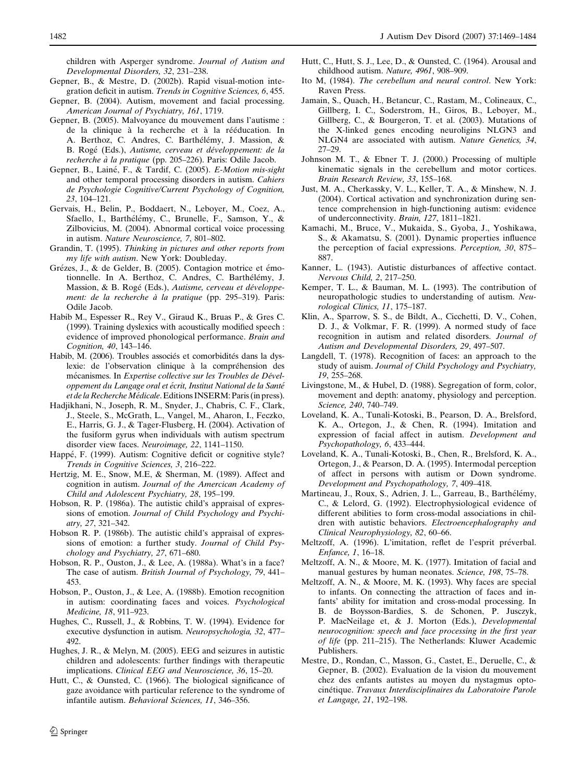<span id="page-13-0"></span>children with Asperger syndrome. Journal of Autism and Developmental Disorders, 32, 231–238.

- Gepner, B., & Mestre, D. (2002b). Rapid visual-motion integration deficit in autism. Trends in Cognitive Sciences, 6, 455.
- Gepner, B. (2004). Autism, movement and facial processing. American Journal of Psychiatry, 161, 1719.
- Gepner, B. (2005). Malvoyance du mouvement dans l'autisme : de la clinique à la recherche et à la rééducation. In A. Berthoz, C. Andres, C. Barthélémy, J. Massion, & B. Rogé (Eds.), Autisme, cerveau et développement: de la recherche à la pratique (pp. 205–226). Paris: Odile Jacob.
- Gepner, B., Lainé, F., & Tardif, C. (2005). E-Motion mis-sight and other temporal processing disorders in autism. Cahiers de Psychologie Cognitive/Current Psychology of Cognition, 23, 104–121.
- Gervais, H., Belin, P., Boddaert, N., Leboyer, M., Coez, A., Sfaello, I., Barthélémy, C., Brunelle, F., Samson, Y., & Zilbovicius, M. (2004). Abnormal cortical voice processing in autism. Nature Neuroscience, 7, 801–802.
- Grandin, T. (1995). Thinking in pictures and other reports from my life with autism. New York: Doubleday.
- Grézes, J., & de Gelder, B. (2005). Contagion motrice et émotionnelle. In A. Berthoz, C. Andres, C. Barthélémy, J. Massion, & B. Rogé (Eds.), Autisme, cerveau et développement: de la recherche à la pratique (pp. 295-319). Paris: Odile Jacob.
- Habib M., Espesser R., Rey V., Giraud K., Bruas P., & Gres C. (1999). Training dyslexics with acoustically modified speech : evidence of improved phonological performance. Brain and Cognition, 40, 143–146.
- Habib, M. (2006). Troubles associés et comorbidités dans la dyslexie: de l'observation clinique à la compréhension des mécanismes. In Expertise collective sur les Troubles de Développement du Langage oral et écrit, Institut National de la Santé et de la Recherche Médicale. Editions INSERM: Paris (in press).
- Hadjikhani, N., Joseph, R. M., Snyder, J., Chabris, C. F., Clark, J., Steele, S., McGrath, L., Vangel, M., Aharon, I., Feczko, E., Harris, G. J., & Tager-Flusberg, H. (2004). Activation of the fusiform gyrus when individuals with autism spectrum disorder view faces. Neuroimage, 22, 1141–1150.
- Happé, F. (1999). Autism: Cognitive deficit or cognitive style? Trends in Cognitive Sciences, 3, 216–222.
- Hertzig, M. E., Snow, M.E, & Sherman, M. (1989). Affect and cognition in autism. Journal of the Amercican Academy of Child and Adolescent Psychiatry, 28, 195–199.
- Hobson, R. P. (1986a). The autistic child's appraisal of expressions of emotion. Journal of Child Psychology and Psychiatry, 27, 321–342.
- Hobson R. P. (1986b). The autistic child's appraisal of expressions of emotion: a further study. Journal of Child Psychology and Psychiatry, 27, 671–680.
- Hobson, R. P., Ouston, J., & Lee, A. (1988a). What's in a face? The case of autism. British Journal of Psychology, 79, 441– 453.
- Hobson, P., Ouston, J., & Lee, A. (1988b). Emotion recognition in autism: coordinating faces and voices. Psychological Medicine, 18, 911–923.
- Hughes, C., Russell, J., & Robbins, T. W. (1994). Evidence for executive dysfunction in autism. Neuropsychologia, 32, 477– 492.
- Hughes, J. R., & Melyn, M. (2005). EEG and seizures in autistic children and adolescents: further findings with therapeutic implications. Clinical EEG and Neuroscience, 36, 15–20.
- Hutt, C., & Ounsted, C. (1966). The biological significance of gaze avoidance with particular reference to the syndrome of infantile autism. Behavioral Sciences, 11, 346–356.
- Hutt, C., Hutt, S. J., Lee, D., & Ounsted, C. (1964). Arousal and childhood autism. Nature, 4961, 908–909.
- Ito M, (1984). The cerebellum and neural control. New York: Raven Press.
- Jamain, S., Quach, H., Betancur, C., Rastam, M., Colineaux, C., Gillberg, I. C., Soderstrom, H., Giros, B., Leboyer, M., Gillberg, C., & Bourgeron, T. et al. (2003). Mutations of the X-linked genes encoding neuroligins NLGN3 and NLGN4 are associated with autism. Nature Genetics, 34, 27–29.
- Johnson M. T., & Ebner T. J. (2000.) Processing of multiple kinematic signals in the cerebellum and motor cortices. Brain Research Review, 33, 155–168.
- Just, M. A., Cherkassky, V. L., Keller, T. A., & Minshew, N. J. (2004). Cortical activation and synchronization during sentence comprehension in high-functioning autism: evidence of underconnectivity. Brain, 127, 1811–1821.
- Kamachi, M., Bruce, V., Mukaida, S., Gyoba, J., Yoshikawa, S., & Akamatsu, S. (2001). Dynamic properties influence the perception of facial expressions. Perception, 30, 875– 887.
- Kanner, L. (1943). Autistic disturbances of affective contact. Nervous Child, 2, 217–250.
- Kemper, T. L., & Bauman, M. L. (1993). The contribution of neuropathologic studies to understanding of autism. Neurological Clinics, 11, 175–187.
- Klin, A., Sparrow, S. S., de Bildt, A., Cicchetti, D. V., Cohen, D. J., & Volkmar, F. R. (1999). A normed study of face recognition in autism and related disorders. Journal of Autism and Developmental Disorders, 29, 497–507.
- Langdell, T. (1978). Recognition of faces: an approach to the study of auism. Journal of Child Psychology and Psychiatry, 19, 255–268.
- Livingstone, M., & Hubel, D. (1988). Segregation of form, color, movement and depth: anatomy, physiology and perception. Science, 240, 740–749.
- Loveland, K. A., Tunali-Kotoski, B., Pearson, D. A., Brelsford, K. A., Ortegon, J., & Chen, R. (1994). Imitation and expression of facial affect in autism. Development and Psychopathology, 6, 433–444.
- Loveland, K. A., Tunali-Kotoski, B., Chen, R., Brelsford, K. A., Ortegon, J., & Pearson, D. A. (1995). Intermodal perception of affect in persons with autism or Down syndrome. Development and Psychopathology, 7, 409–418.
- Martineau, J., Roux, S., Adrien, J. L., Garreau, B., Barthélémy, C., & Lelord, G. (1992). Electrophysiological evidence of different abilities to form cross-modal associations in children with autistic behaviors. Electroencephalography and Clinical Neurophysiology, 82, 60–66.
- Meltzoff, A. (1996). L'imitation, reflet de l'esprit préverbal. Enfance, 1, 16–18.
- Meltzoff, A. N., & Moore, M. K. (1977). Imitation of facial and manual gestures by human neonates. Science, 198, 75–78.
- Meltzoff, A. N., & Moore, M. K. (1993). Why faces are special to infants. On connecting the attraction of faces and infants' ability for imitation and cross-modal processing. In B. de Boysson-Bardies, S. de Schonen, P. Jusczyk, P. MacNeilage et, & J. Morton (Eds.), Developmental neurocognition: speech and face processing in the first year of life (pp. 211–215). The Netherlands: Kluwer Academic Publishers.
- Mestre, D., Rondan, C., Masson, G., Castet, E., Deruelle, C., & Gepner, B. (2002). Evaluation de la vision du mouvement chez des enfants autistes au moyen du nystagmus optocinétique. Travaux Interdisciplinaires du Laboratoire Parole et Langage, 21, 192–198.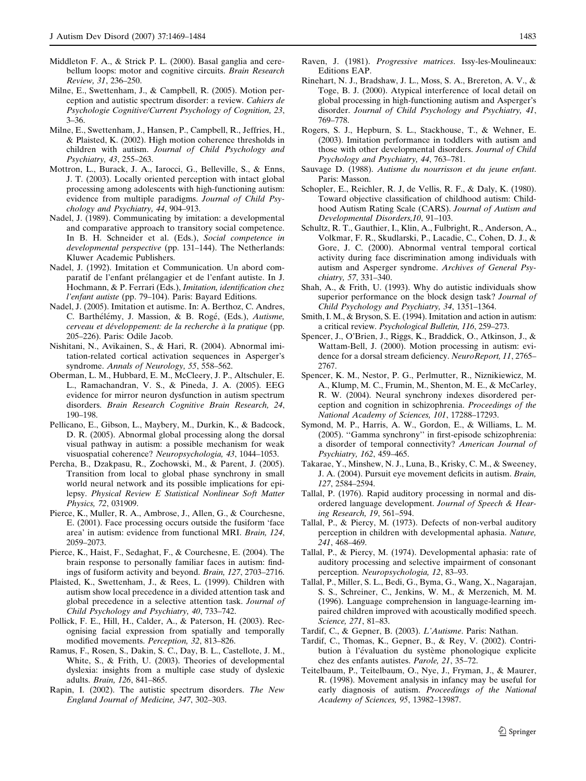- <span id="page-14-0"></span>Middleton F. A., & Strick P. L. (2000). Basal ganglia and cerebellum loops: motor and cognitive circuits. Brain Research Review, 31, 236–250.
- Milne, E., Swettenham, J., & Campbell, R. (2005). Motion perception and autistic spectrum disorder: a review. Cahiers de Psychologie Cognitive/Current Psychology of Cognition, 23, 3–36.
- Milne, E., Swettenham, J., Hansen, P., Campbell, R., Jeffries, H., & Plaisted, K. (2002). High motion coherence thresholds in children with autism. Journal of Child Psychology and Psychiatry, 43, 255–263.
- Mottron, L., Burack, J. A., Iarocci, G., Belleville, S., & Enns, J. T. (2003). Locally oriented perception with intact global processing among adolescents with high-functioning autism: evidence from multiple paradigms. Journal of Child Psychology and Psychiatry, 44, 904–913.
- Nadel, J. (1989). Communicating by imitation: a developmental and comparative approach to transitory social competence. In B. H. Schneider et al. (Eds.), Social competence in developmental perspective (pp. 131-144). The Netherlands: Kluwer Academic Publishers.
- Nadel, J. (1992). Imitation et Communication. Un abord comparatif de l'enfant prélangagier et de l'enfant autiste. In J. Hochmann, & P. Ferrari (Eds.), Imitation, identification chez l'enfant autiste (pp. 79–104). Paris: Bayard Editions.
- Nadel, J. (2005). Imitation et autisme. In: A. Berthoz, C. Andres, C. Barthélémy, J. Massion, & B. Rogé, (Eds.), Autisme, cerveau et développement: de la recherche à la pratique (pp. 205–226). Paris: Odile Jacob.
- Nishitani, N., Avikainen, S., & Hari, R. (2004). Abnormal imitation-related cortical activation sequences in Asperger's syndrome. Annals of Neurology, 55, 558–562.
- Oberman, L. M., Hubbard, E. M., McCleery, J. P., Altschuler, E. L., Ramachandran, V. S., & Pineda, J. A. (2005). EEG evidence for mirror neuron dysfunction in autism spectrum disorders. Brain Research Cognitive Brain Research, 24, 190–198.
- Pellicano, E., Gibson, L., Maybery, M., Durkin, K., & Badcock, D. R. (2005). Abnormal global processing along the dorsal visual pathway in autism: a possible mechanism for weak visuospatial coherence? Neuropsychologia, 43, 1044–1053.
- Percha, B., Dzakpasu, R., Zochowski, M., & Parent, J. (2005). Transition from local to global phase synchrony in small world neural network and its possible implications for epilepsy. Physical Review E Statistical Nonlinear Soft Matter Physics, 72, 031909.
- Pierce, K., Muller, R. A., Ambrose, J., Allen, G., & Courchesne, E. (2001). Face processing occurs outside the fusiform 'face area' in autism: evidence from functional MRI. Brain, 124, 2059–2073.
- Pierce, K., Haist, F., Sedaghat, F., & Courchesne, E. (2004). The brain response to personally familiar faces in autism: findings of fusiform activity and beyond. Brain, 127, 2703–2716.
- Plaisted, K., Swettenham, J., & Rees, L. (1999). Children with autism show local precedence in a divided attention task and global precedence in a selective attention task. Journal of Child Psychology and Psychiatry, 40, 733–742.
- Pollick, F. E., Hill, H., Calder, A., & Paterson, H. (2003). Recognising facial expression from spatially and temporally modified movements. Perception, 32, 813–826.
- Ramus, F., Rosen, S., Dakin, S. C., Day, B. L., Castellote, J. M., White, S., & Frith, U. (2003). Theories of developmental dyslexia: insights from a multiple case study of dyslexic adults. Brain, 126, 841–865.
- Rapin, I. (2002). The autistic spectrum disorders. The New England Journal of Medicine, 347, 302–303.
- Raven, J. (1981). Progressive matrices. Issy-les-Moulineaux: Editions EAP.
- Rinehart, N. J., Bradshaw, J. L., Moss, S. A., Brereton, A. V., & Toge, B. J. (2000). Atypical interference of local detail on global processing in high-functioning autism and Asperger's disorder. Journal of Child Psychology and Psychiatry, 41, 769–778.
- Rogers, S. J., Hepburn, S. L., Stackhouse, T., & Wehner, E. (2003). Imitation performance in toddlers with autism and those with other developmental disorders. Journal of Child Psychology and Psychiatry, 44, 763–781.
- Sauvage D. (1988). Autisme du nourrisson et du jeune enfant. Paris: Masson.
- Schopler, E., Reichler, R. J, de Vellis, R. F., & Daly, K. (1980). Toward objective classification of childhood autism: Childhood Autism Rating Scale (CARS). Journal of Autism and Developmental Disorders,10, 91–103.
- Schultz, R. T., Gauthier, I., Klin, A., Fulbright, R., Anderson, A., Volkmar, F. R., Skudlarski, P., Lacadie, C., Cohen, D. J., & Gore, J. C. (2000). Abnormal ventral temporal cortical activity during face discrimination among individuals with autism and Asperger syndrome. Archives of General Psychiatry, 57, 331–340.
- Shah, A., & Frith, U. (1993). Why do autistic individuals show superior performance on the block design task? *Journal of* Child Psychology and Psychiatry, 34, 1351–1364.
- Smith, I. M., & Bryson, S. E. (1994). Imitation and action in autism: a critical review. Psychological Bulletin, 116, 259–273.
- Spencer, J., O'Brien, J., Riggs, K., Braddick, O., Atkinson, J., & Wattam-Bell, J. (2000). Motion processing in autism: evidence for a dorsal stream deficiency. NeuroReport, 11, 2765– 2767.
- Spencer, K. M., Nestor, P. G., Perlmutter, R., Niznikiewicz, M. A., Klump, M. C., Frumin, M., Shenton, M. E., & McCarley, R. W. (2004). Neural synchrony indexes disordered perception and cognition in schizophrenia. Proceedings of the National Academy of Sciences, 101, 17288–17293.
- Symond, M. P., Harris, A. W., Gordon, E., & Williams, L. M. (2005). ''Gamma synchrony'' in first-episode schizophrenia: a disorder of temporal connectivity? American Journal of Psychiatry, 162, 459–465.
- Takarae, Y., Minshew, N. J., Luna, B., Krisky, C. M., & Sweeney, J. A. (2004). Pursuit eye movement deficits in autism. Brain, 127, 2584–2594.
- Tallal, P. (1976). Rapid auditory processing in normal and disordered language development. Journal of Speech & Hearing Research, 19, 561–594.
- Tallal, P., & Piercy, M. (1973). Defects of non-verbal auditory perception in children with developmental aphasia. Nature, 241, 468–469.
- Tallal, P., & Piercy, M. (1974). Developmental aphasia: rate of auditory processing and selective impairment of consonant perception. Neuropsychologia, 12, 83–93.
- Tallal, P., Miller, S. L., Bedi, G., Byma, G., Wang, X., Nagarajan, S. S., Schreiner, C., Jenkins, W. M., & Merzenich, M. M. (1996). Language comprehension in language-learning impaired children improved with acoustically modified speech. Science, 271, 81–83.
- Tardif, C., & Gepner, B. (2003). L'Autisme. Paris: Nathan.
- Tardif, C., Thomas, K., Gepner, B., & Rey, V. (2002). Contribution à l'évaluation du système phonologique explicite chez des enfants autistes. Parole, 21, 35–72.
- Teitelbaum, P., Teitelbaum, O., Nye, J., Fryman, J., & Maurer, R. (1998). Movement analysis in infancy may be useful for early diagnosis of autism. Proceedings of the National Academy of Sciences, 95, 13982–13987.